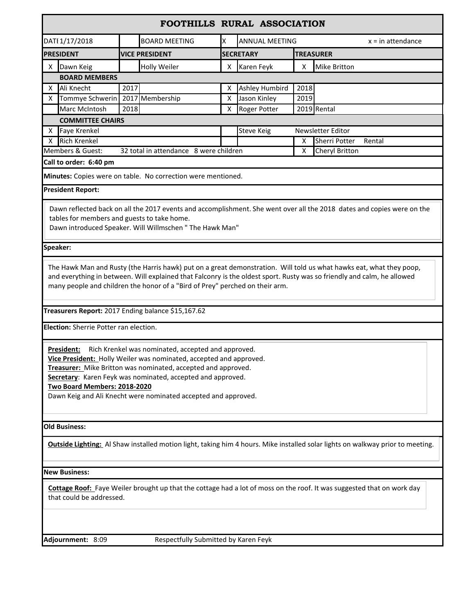|                                                                                                                                        |                                                                              |                       | FOOTHILLS RURAL ASSOCIATION |                            |                       |                     |                                                                                                                                       |  |  |
|----------------------------------------------------------------------------------------------------------------------------------------|------------------------------------------------------------------------------|-----------------------|-----------------------------|----------------------------|-----------------------|---------------------|---------------------------------------------------------------------------------------------------------------------------------------|--|--|
| DATI 1/17/2018                                                                                                                         |                                                                              | <b>BOARD MEETING</b>  |                             | <b>ANNUAL MEETING</b><br>X |                       | $x = in$ attendance |                                                                                                                                       |  |  |
| <b>PRESIDENT</b>                                                                                                                       |                                                                              | <b>VICE PRESIDENT</b> |                             |                            | <b>SECRETARY</b>      |                     | <b>TREASURER</b>                                                                                                                      |  |  |
| х                                                                                                                                      | Dawn Keig                                                                    |                       | <b>Holly Weiler</b>         | х                          | Karen Feyk            | х                   | <b>Mike Britton</b>                                                                                                                   |  |  |
|                                                                                                                                        | <b>BOARD MEMBERS</b>                                                         |                       |                             |                            |                       |                     |                                                                                                                                       |  |  |
| x                                                                                                                                      | Ali Knecht                                                                   | 2017                  |                             | х                          | <b>Ashley Humbird</b> | 2018                |                                                                                                                                       |  |  |
| х                                                                                                                                      | Tommye Schwerin                                                              |                       | 2017 Membership             | X                          | Jason Kinley          | 2019                |                                                                                                                                       |  |  |
|                                                                                                                                        | Marc McIntosh                                                                | 2018                  |                             | х                          | Roger Potter          |                     | 2019 Rental                                                                                                                           |  |  |
|                                                                                                                                        | <b>COMMITTEE CHAIRS</b>                                                      |                       |                             |                            |                       |                     |                                                                                                                                       |  |  |
| x                                                                                                                                      | <b>Faye Krenkel</b>                                                          |                       |                             | <b>Steve Keig</b>          | Newsletter Editor     |                     |                                                                                                                                       |  |  |
| X                                                                                                                                      | <b>Rich Krenkel</b>                                                          |                       |                             |                            |                       | χ                   | <b>Sherri Potter</b><br>Rental                                                                                                        |  |  |
| Members & Guest:<br>32 total in attendance 8 were children                                                                             |                                                                              |                       |                             | х                          | Cheryl Britton        |                     |                                                                                                                                       |  |  |
| Call to order: 6:40 pm                                                                                                                 |                                                                              |                       |                             |                            |                       |                     |                                                                                                                                       |  |  |
| Minutes: Copies were on table. No correction were mentioned.                                                                           |                                                                              |                       |                             |                            |                       |                     |                                                                                                                                       |  |  |
| <b>President Report:</b>                                                                                                               |                                                                              |                       |                             |                            |                       |                     |                                                                                                                                       |  |  |
|                                                                                                                                        |                                                                              |                       |                             |                            |                       |                     |                                                                                                                                       |  |  |
|                                                                                                                                        |                                                                              |                       |                             |                            |                       |                     | Dawn reflected back on all the 2017 events and accomplishment. She went over all the 2018 dates and copies were on the                |  |  |
|                                                                                                                                        | tables for members and guests to take home.                                  |                       |                             |                            |                       |                     |                                                                                                                                       |  |  |
| Dawn introduced Speaker. Will Willmschen " The Hawk Man"                                                                               |                                                                              |                       |                             |                            |                       |                     |                                                                                                                                       |  |  |
| Speaker:                                                                                                                               |                                                                              |                       |                             |                            |                       |                     |                                                                                                                                       |  |  |
|                                                                                                                                        |                                                                              |                       |                             |                            |                       |                     |                                                                                                                                       |  |  |
| The Hawk Man and Rusty (the Harris hawk) put on a great demonstration. Will told us what hawks eat, what they poop,                    |                                                                              |                       |                             |                            |                       |                     |                                                                                                                                       |  |  |
|                                                                                                                                        |                                                                              |                       |                             |                            |                       |                     | and everything in between. Will explained that Falconry is the oldest sport. Rusty was so friendly and calm, he allowed               |  |  |
|                                                                                                                                        | many people and children the honor of a "Bird of Prey" perched on their arm. |                       |                             |                            |                       |                     |                                                                                                                                       |  |  |
|                                                                                                                                        |                                                                              |                       |                             |                            |                       |                     |                                                                                                                                       |  |  |
| Treasurers Report: 2017 Ending balance \$15,167.62                                                                                     |                                                                              |                       |                             |                            |                       |                     |                                                                                                                                       |  |  |
| Election: Sherrie Potter ran election.                                                                                                 |                                                                              |                       |                             |                            |                       |                     |                                                                                                                                       |  |  |
|                                                                                                                                        |                                                                              |                       |                             |                            |                       |                     |                                                                                                                                       |  |  |
|                                                                                                                                        |                                                                              |                       |                             |                            |                       |                     |                                                                                                                                       |  |  |
| Rich Krenkel was nominated, accepted and approved.<br>President:<br>Vice President: Holly Weiler was nominated, accepted and approved. |                                                                              |                       |                             |                            |                       |                     |                                                                                                                                       |  |  |
| Treasurer: Mike Britton was nominated, accepted and approved.                                                                          |                                                                              |                       |                             |                            |                       |                     |                                                                                                                                       |  |  |
| Secretary: Karen Feyk was nominated, accepted and approved.                                                                            |                                                                              |                       |                             |                            |                       |                     |                                                                                                                                       |  |  |
|                                                                                                                                        | Two Board Members: 2018-2020                                                 |                       |                             |                            |                       |                     |                                                                                                                                       |  |  |
| Dawn Keig and Ali Knecht were nominated accepted and approved.                                                                         |                                                                              |                       |                             |                            |                       |                     |                                                                                                                                       |  |  |
|                                                                                                                                        |                                                                              |                       |                             |                            |                       |                     |                                                                                                                                       |  |  |
|                                                                                                                                        | <b>Old Business:</b>                                                         |                       |                             |                            |                       |                     |                                                                                                                                       |  |  |
|                                                                                                                                        |                                                                              |                       |                             |                            |                       |                     |                                                                                                                                       |  |  |
|                                                                                                                                        |                                                                              |                       |                             |                            |                       |                     | <b>Outside Lighting:</b> Al Shaw installed motion light, taking him 4 hours. Mike installed solar lights on walkway prior to meeting. |  |  |
|                                                                                                                                        |                                                                              |                       |                             |                            |                       |                     |                                                                                                                                       |  |  |
| <b>New Business:</b>                                                                                                                   |                                                                              |                       |                             |                            |                       |                     |                                                                                                                                       |  |  |
|                                                                                                                                        |                                                                              |                       |                             |                            |                       |                     |                                                                                                                                       |  |  |
| Cottage Roof: Faye Weiler brought up that the cottage had a lot of moss on the roof. It was suggested that on work day                 |                                                                              |                       |                             |                            |                       |                     |                                                                                                                                       |  |  |
|                                                                                                                                        | that could be addressed.                                                     |                       |                             |                            |                       |                     |                                                                                                                                       |  |  |
|                                                                                                                                        |                                                                              |                       |                             |                            |                       |                     |                                                                                                                                       |  |  |
|                                                                                                                                        |                                                                              |                       |                             |                            |                       |                     |                                                                                                                                       |  |  |
|                                                                                                                                        |                                                                              |                       |                             |                            |                       |                     |                                                                                                                                       |  |  |
|                                                                                                                                        | Adjournment: 8:09<br>Respectfully Submitted by Karen Feyk                    |                       |                             |                            |                       |                     |                                                                                                                                       |  |  |
|                                                                                                                                        |                                                                              |                       |                             |                            |                       |                     |                                                                                                                                       |  |  |